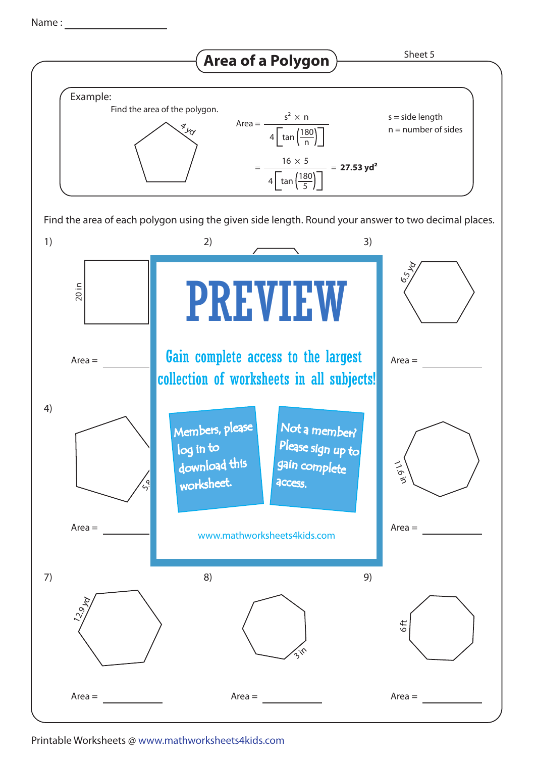Name :



Printable Worksheets @ www.mathworksheets4kids.com